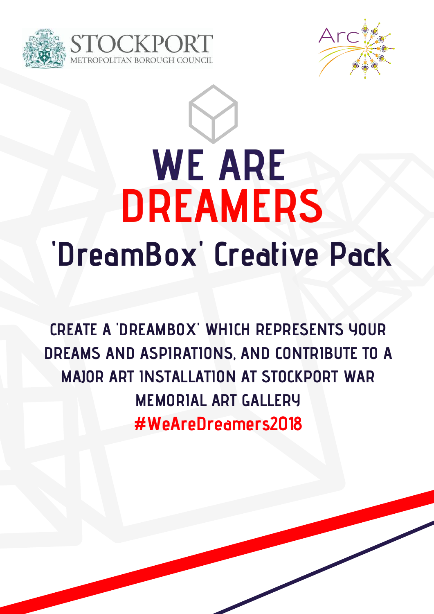





**CREATE A 'DREAMBOX' WHICH REPRESENTS YOUR DREAMS AND ASPIRATIONS, AND CONTRIBUTE TO A MAJOR ART INSTALLATION AT STOCKPORT WAR MEMORIAL ART GALLERY #WeAreDreamers2018**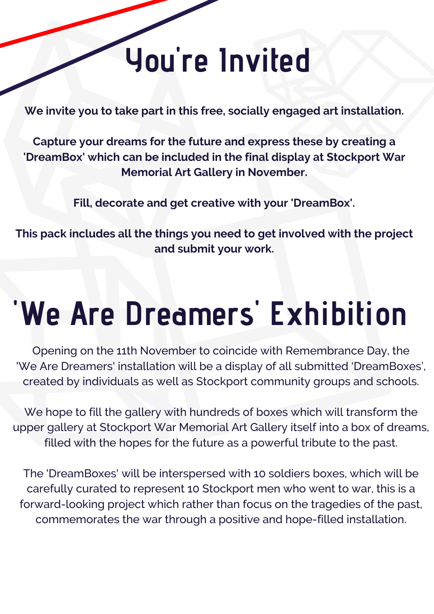#### **You 're Invited**

**We invite you to take part in this free, socially engaged art installation.**

**Capture your dreams for the future and express these by creating a 'DreamBox' which can be included in the final display at Stockport War Memorial Art Gallery in November.**

**Fill, decorate and get creative with your 'DreamBox'.**

**This pack includes all the things you need to get involved with the project and submit your work.**

### **'We Are Dreamers ' Exhibition**

Opening on the 11th November to coincide with Remembrance Day, the 'We Are Dreamers' installation will be a display of all submitted 'DreamBoxes', created by individuals as well as Stockport community groups and schools.

We hope to fill the gallery with hundreds of boxes which will transform the upper gallery at Stockport War Memorial Art Gallery itself into a box of dreams, filled with the hopes for the future as a powerful tribute to the past.

The 'DreamBoxes' will be interspersed with 10 soldiers boxes, which will be carefully curated to represent 10 Stockport men who went to war, this is a forward-looking project which rather than focus on the tragedies of the past, commemorates the war through a positive and hope-filled installation.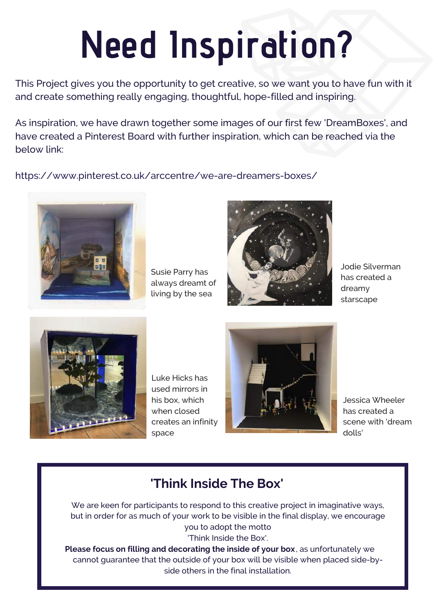## **Need Inspiration?**

This Project gives you the opportunity to get creative, so we want you to have fun with it and create something really engaging, thoughtful, hope-filled and inspiring.

As inspiration, we have drawn together some images of our first few 'DreamBoxes', and have created a Pinterest Board with further inspiration, which can be reached via the below link:

https://www.pinterest.co.uk/arccentre/we-are-dreamers-boxes/



Susie Parry has always dreamt of living by the sea



Jodie Silverman has created a dreamy starscape



Luke Hicks has used mirrors in his box, which when closed creates an infinity space



Jessica Wheeler has created a scene with 'dream dolls'

#### **'Think Inside The Box'**

We are keen for participants to respond to this creative project in imaginative ways, but in order for as much of your work to be visible in the final display, we encourage you to adopt the motto 'Think Inside the Box'.

**Please focus on filling and decorating the inside of your box, as unfortunately we** cannot guarantee that the outside of your box will be visible when placed side-byside others in the final installation.